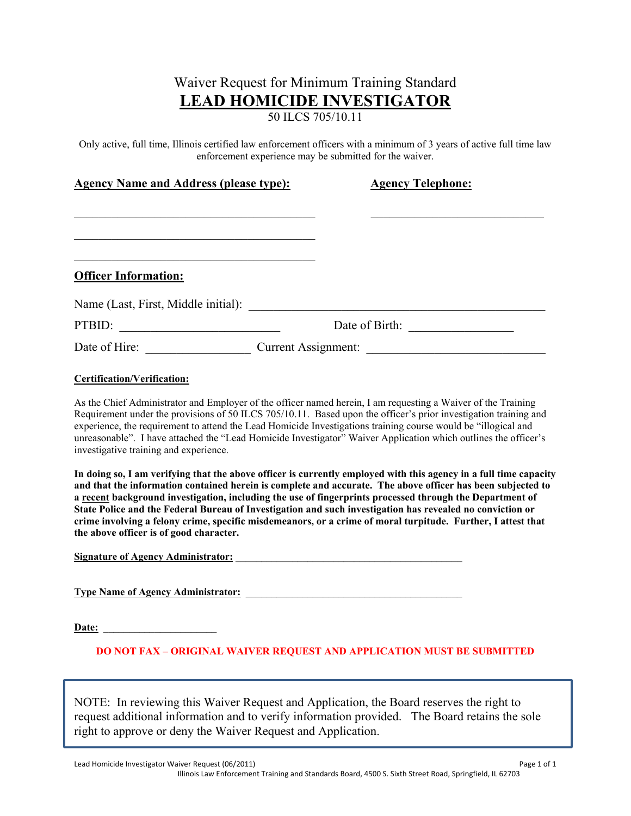# Waiver Request for Minimum Training Standard **LEAD HOMICIDE INVESTIGATOR**

50 ILCS 705/10.11

Only active, full time, Illinois certified law enforcement officers with a minimum of 3 years of active full time law enforcement experience may be submitted for the waiver.

| <b>Agency Name and Address (please type):</b> | <b>Agency Telephone:</b>   |
|-----------------------------------------------|----------------------------|
|                                               |                            |
|                                               |                            |
| <b>Officer Information:</b>                   |                            |
| Name (Last, First, Middle initial):           |                            |
| PTBID:                                        | Date of Birth:             |
| Date of Hire:                                 | <b>Current Assignment:</b> |

#### **Certification/Verification:**

As the Chief Administrator and Employer of the officer named herein, I am requesting a Waiver of the Training Requirement under the provisions of 50 ILCS 705/10.11. Based upon the officer's prior investigation training and experience, the requirement to attend the Lead Homicide Investigations training course would be "illogical and unreasonable". I have attached the "Lead Homicide Investigator" Waiver Application which outlines the officer's investigative training and experience.

**In doing so, I am verifying that the above officer is currently employed with this agency in a full time capacity and that the information contained herein is complete and accurate. The above officer has been subjected to a recent background investigation, including the use of fingerprints processed through the Department of State Police and the Federal Bureau of Investigation and such investigation has revealed no conviction or crime involving a felony crime, specific misdemeanors, or a crime of moral turpitude. Further, I attest that the above officer is of good character.** 

Signature of Agency Administrator:

**Type Name of Agency Administrator:** 

Date:

**DO NOT FAX – ORIGINAL WAIVER REQUEST AND APPLICATION MUST BE SUBMITTED** 

NOTE: In reviewing this Waiver Request and Application, the Board reserves the right to request additional information and to verify information provided. The Board retains the sole right to approve or deny the Waiver Request and Application.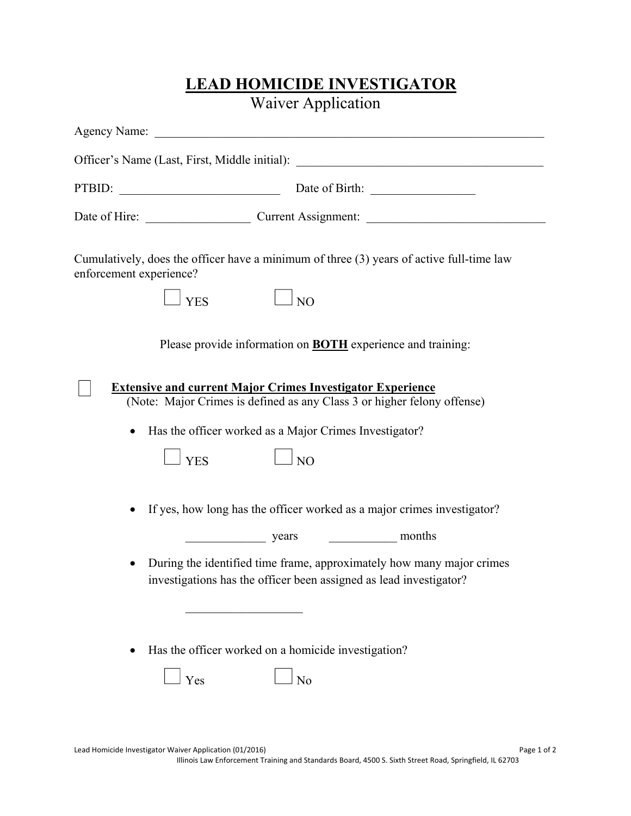## **LEAD HOMICIDE INVESTIGATOR**  Waiver Application

| Agency Name: <u>Department of the set of the set of the set of the set of the set of the set of the set of the set of the set of the set of the set of the set of the set of the set of the set of the set of the set of the set</u> |
|--------------------------------------------------------------------------------------------------------------------------------------------------------------------------------------------------------------------------------------|
| Officer's Name (Last, First, Middle initial): ___________________________________                                                                                                                                                    |
| PTBID: Date of Birth:                                                                                                                                                                                                                |
|                                                                                                                                                                                                                                      |
| Cumulatively, does the officer have a minimum of three (3) years of active full-time law<br>enforcement experience?<br>$\Box$ NO<br><b>YES</b>                                                                                       |
| Please provide information on <b>BOTH</b> experience and training:                                                                                                                                                                   |
| <b>Extensive and current Major Crimes Investigator Experience</b><br>(Note: Major Crimes is defined as any Class 3 or higher felony offense)                                                                                         |
| Has the officer worked as a Major Crimes Investigator?                                                                                                                                                                               |
| <b>YES</b><br>N <sub>O</sub>                                                                                                                                                                                                         |
| If yes, how long has the officer worked as a major crimes investigator?<br>$\bullet$                                                                                                                                                 |
| years months                                                                                                                                                                                                                         |
| During the identified time frame, approximately how many major crimes<br>investigations has the officer been assigned as lead investigator?                                                                                          |
|                                                                                                                                                                                                                                      |
| Has the officer worked on a homicide investigation?                                                                                                                                                                                  |
| No<br>Yes                                                                                                                                                                                                                            |